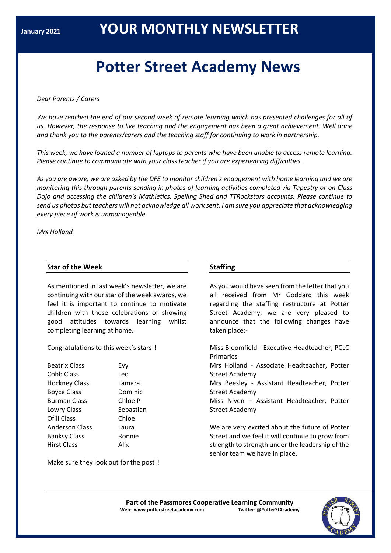# **Potter Street Academy News**

#### *Dear Parents / Carers*

We have reached the end of our second week of remote learning which has presented challenges for all of *us. However, the response to live teaching and the engagement has been a great achievement. Well done and thank you to the parents/carers and the teaching staff for continuing to work in partnership.*

This week, we have loaned a number of laptops to parents who have been unable to access remote learning. *Please continue to communicate with your class teacher if you are experiencing difficulties.*

As you are aware, we are asked by the DFE to monitor children's engagement with home learning and we are *monitoring this through parents sending in photos of learning activities completed via Tapestry or on Class Dojo and accessing the children's Mathletics, Spelling Shed and TTRockstars accounts. Please continue to* send us photos but teachers will not acknowledge all work sent. I am sure you appreciate that acknowledging *every piece of work is unmanageable.*

*Mrs Holland*

### **Star of the Week**

As mentioned in last week's newsletter, we are continuing with our star of the week awards, we feel it is important to continue to motivate children with these celebrations of showing good attitudes towards learning whilst completing learning at home.

Congratulations to this week's stars!!

| <b>Beatrix Class</b>  | Evv  |
|-----------------------|------|
| Cobb Class            | Leo  |
| <b>Hockney Class</b>  | Lan  |
| <b>Boyce Class</b>    | Dor  |
| <b>Burman Class</b>   | Chl  |
| Lowry Class           | Seb  |
| Ofili Class           | Chl  |
| <b>Anderson Class</b> | Lau  |
| <b>Banksy Class</b>   | Ror  |
| <b>Hirst Class</b>    | Alix |
|                       |      |

Evy Leo Lamara Dominic Chloe P Sebastian Chloe Laura **Ronnie** 

## **Staffing**

As you would have seen from the letter that you all received from Mr Goddard this week regarding the staffing restructure at Potter Street Academy, we are very pleased to announce that the following changes have taken place:-

Miss Bloomfield - Executive Headteacher, PCLC Primaries Mrs Holland - Associate Headteacher, Potter Street Academy Mrs Beesley - Assistant Headteacher, Potter Street Academy Miss Niven – Assistant Headteacher, Potter Street Academy We are very excited about the future of Potter

Street and we feel it will continue to grow from strength to strength under the leadership of the senior team we have in place.

Make sure they look out for the post!!

**Part of the Passmores Cooperative Learning Community Web: www.potterstreetacademy.com Twitter: @PotterStAcademy**